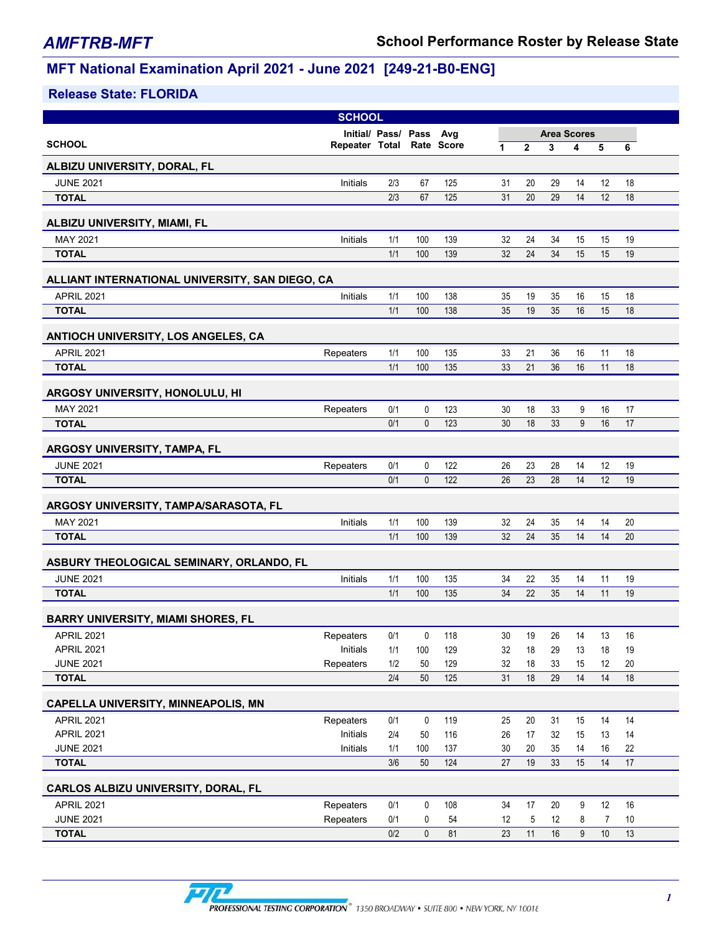|                                                 | <b>SCHOOL</b>             |                     |                   |            |          |                |                    |          |          |          |  |
|-------------------------------------------------|---------------------------|---------------------|-------------------|------------|----------|----------------|--------------------|----------|----------|----------|--|
|                                                 |                           | Initial/ Pass/ Pass |                   | Avg        |          |                | <b>Area Scores</b> |          |          |          |  |
| <b>SCHOOL</b>                                   | Repeater Total Rate Score |                     |                   |            | 1        | $\overline{2}$ | 3                  | 4        | 5        | 6        |  |
| ALBIZU UNIVERSITY, DORAL, FL                    |                           |                     |                   |            |          |                |                    |          |          |          |  |
| <b>JUNE 2021</b>                                | Initials                  | 2/3                 | 67                | 125        | 31       | 20             | 29                 | 14       | 12       | 18       |  |
| <b>TOTAL</b>                                    |                           | 2/3                 | 67                | 125        | 31       | 20             | 29                 | 14       | 12       | 18       |  |
|                                                 |                           |                     |                   |            |          |                |                    |          |          |          |  |
| ALBIZU UNIVERSITY, MIAMI, FL                    |                           |                     |                   |            |          |                |                    |          |          |          |  |
| MAY 2021                                        | Initials                  | 1/1                 | 100               | 139        | 32       | 24             | 34                 | 15       | 15       | 19       |  |
| <b>TOTAL</b>                                    |                           | 1/1                 | 100               | 139        | 32       | 24             | 34                 | 15       | 15       | 19       |  |
| ALLIANT INTERNATIONAL UNIVERSITY, SAN DIEGO, CA |                           |                     |                   |            |          |                |                    |          |          |          |  |
| <b>APRIL 2021</b>                               | Initials                  | 1/1                 | 100               | 138        | 35       | 19             | 35                 | 16       | 15       | 18       |  |
| <b>TOTAL</b>                                    |                           | 1/1                 | 100               | 138        | 35       | 19             | 35                 | 16       | 15       | 18       |  |
|                                                 |                           |                     |                   |            |          |                |                    |          |          |          |  |
| ANTIOCH UNIVERSITY, LOS ANGELES, CA             |                           |                     |                   |            |          |                |                    |          |          |          |  |
| <b>APRIL 2021</b>                               | Repeaters                 | 1/1                 | 100               | 135        | 33       | 21             | 36                 | 16       | 11       | 18       |  |
| <b>TOTAL</b>                                    |                           | 1/1                 | 100               | 135        | 33       | 21             | 36                 | 16       | 11       | 18       |  |
| ARGOSY UNIVERSITY, HONOLULU, HI                 |                           |                     |                   |            |          |                |                    |          |          |          |  |
| MAY 2021                                        | Repeaters                 | 0/1                 | 0                 | 123        | 30       | 18             | 33                 | 9        | 16       | 17       |  |
| <b>TOTAL</b>                                    |                           | 0/1                 | $\mathbf{0}$      | 123        | 30       | 18             | 33                 | 9        | 16       | 17       |  |
|                                                 |                           |                     |                   |            |          |                |                    |          |          |          |  |
| ARGOSY UNIVERSITY, TAMPA, FL                    |                           |                     |                   |            |          |                |                    |          |          |          |  |
| <b>JUNE 2021</b>                                | Repeaters                 | 0/1                 | 0                 | 122        | 26       | 23             | 28                 | 14       | 12       | 19       |  |
| <b>TOTAL</b>                                    |                           | 0/1                 | $\mathbf 0$       | 122        | 26       | 23             | 28                 | 14       | 12       | 19       |  |
| ARGOSY UNIVERSITY, TAMPA/SARASOTA, FL           |                           |                     |                   |            |          |                |                    |          |          |          |  |
| MAY 2021                                        | Initials                  | 1/1                 | 100               | 139        | 32       | 24             | 35                 | 14       | 14       | 20       |  |
| <b>TOTAL</b>                                    |                           | 1/1                 | 100               | 139        | 32       | 24             | 35                 | 14       | 14       | 20       |  |
|                                                 |                           |                     |                   |            |          |                |                    |          |          |          |  |
| ASBURY THEOLOGICAL SEMINARY, ORLANDO, FL        |                           |                     |                   |            |          |                |                    |          |          |          |  |
| <b>JUNE 2021</b><br><b>TOTAL</b>                | Initials                  | 1/1<br>1/1          | 100<br>100        | 135<br>135 | 34<br>34 | 22<br>22       | 35<br>35           | 14<br>14 | 11<br>11 | 19<br>19 |  |
|                                                 |                           |                     |                   |            |          |                |                    |          |          |          |  |
| <b>BARRY UNIVERSITY, MIAMI SHORES, FL</b>       |                           |                     |                   |            |          |                |                    |          |          |          |  |
| APRIL 2021                                      | Repeaters                 | 0/1                 | 0                 | 118        | 30       | 19             | 26                 | 14       | 13       | 16       |  |
| APRIL 2021                                      | Initials                  | 1/1                 | 100               | 129        | 32       | 18             | 29                 | 13       | 18       | 19       |  |
| <b>JUNE 2021</b>                                | Repeaters                 | 1/2                 | 50                | 129        | 32       | 18             | 33                 | 15       | 12       | 20       |  |
| <b>TOTAL</b>                                    |                           | 2/4                 | 50                | 125        | 31       | 18             | 29                 | 14       | 14       | 18       |  |
| CAPELLA UNIVERSITY, MINNEAPOLIS, MN             |                           |                     |                   |            |          |                |                    |          |          |          |  |
| APRIL 2021                                      | Repeaters                 | 0/1                 | 0                 | 119        | 25       | 20             | 31                 | 15       | 14       | 14       |  |
| APRIL 2021                                      | Initials                  | 2/4                 | 50                | 116        | 26       | 17             | 32                 | 15       | 13       | 14       |  |
| <b>JUNE 2021</b>                                | Initials                  | 1/1                 | 100               | 137        | 30       | 20             | 35                 | 14       | 16       | 22       |  |
| <b>TOTAL</b>                                    |                           | 3/6                 | 50                | 124        | 27       | 19             | 33                 | 15       | 14       | 17       |  |
|                                                 |                           |                     |                   |            |          |                |                    |          |          |          |  |
| CARLOS ALBIZU UNIVERSITY, DORAL, FL             |                           |                     |                   |            |          |                |                    |          |          |          |  |
| <b>APRIL 2021</b><br><b>JUNE 2021</b>           | Repeaters                 | 0/1<br>0/1          | 0                 | 108<br>54  | 34       | 17             | 20<br>12           | 9        | 12       | 16       |  |
| <b>TOTAL</b>                                    | Repeaters                 | 0/2                 | 0<br>$\mathbf{0}$ | 81         | 12<br>23 | 5<br>11        | 16                 | 8<br>9   | 7<br>10  | 10<br>13 |  |
|                                                 |                           |                     |                   |            |          |                |                    |          |          |          |  |

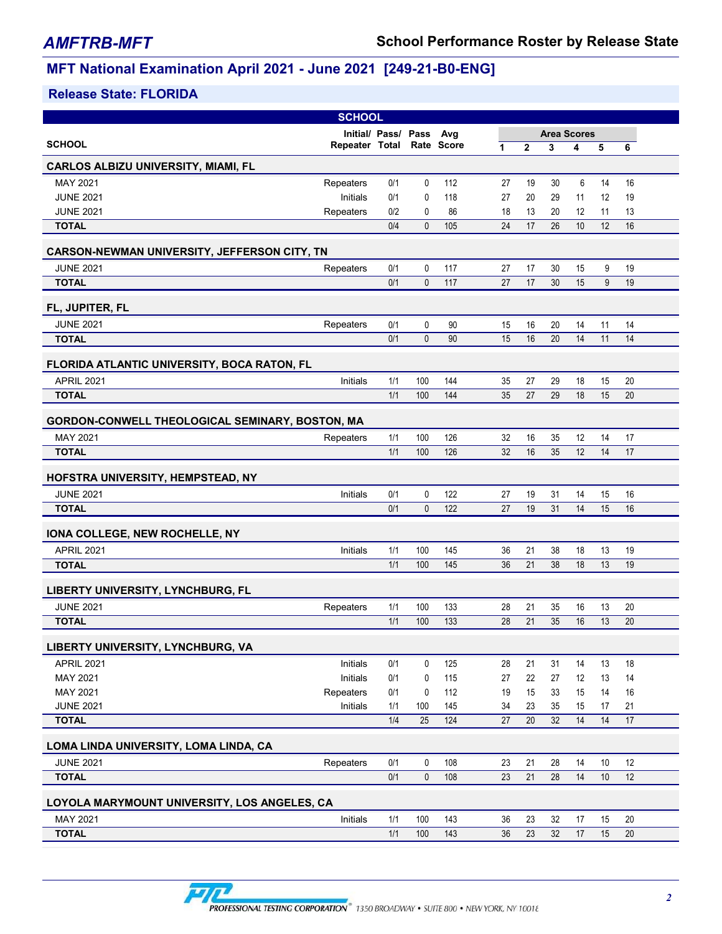| <b>SCHOOL</b>                                   |                           |                     |              |     |                 |              |                    |                 |      |    |  |
|-------------------------------------------------|---------------------------|---------------------|--------------|-----|-----------------|--------------|--------------------|-----------------|------|----|--|
|                                                 |                           | Initial/ Pass/ Pass |              | Avg |                 |              | <b>Area Scores</b> |                 |      |    |  |
| <b>SCHOOL</b>                                   | Repeater Total Rate Score |                     |              |     | 1               | $\mathbf{2}$ | 3                  | 4               | 5    | 6  |  |
| <b>CARLOS ALBIZU UNIVERSITY, MIAMI, FL</b>      |                           |                     |              |     |                 |              |                    |                 |      |    |  |
| MAY 2021                                        | Repeaters                 | 0/1                 | 0            | 112 | 27              | 19           | 30                 | 6               | 14   | 16 |  |
| <b>JUNE 2021</b>                                | Initials                  | 0/1                 | 0            | 118 | 27              | 20           | 29                 | 11              | 12   | 19 |  |
| <b>JUNE 2021</b>                                | Repeaters                 | 0/2                 | $\mathbf{0}$ | 86  | 18              | 13           | 20                 | 12              | 11   | 13 |  |
| <b>TOTAL</b>                                    |                           | 0/4                 | $\mathbf{0}$ | 105 | 24              | 17           | 26                 | 10 <sup>1</sup> | 12   | 16 |  |
| CARSON-NEWMAN UNIVERSITY, JEFFERSON CITY, TN    |                           |                     |              |     |                 |              |                    |                 |      |    |  |
| <b>JUNE 2021</b>                                | Repeaters                 | 0/1                 | 0            | 117 | 27              | 17           | 30                 | 15              | 9    | 19 |  |
| <b>TOTAL</b>                                    |                           | 0/1                 | $\mathbf{0}$ | 117 | 27              | 17           | 30                 | 15              | 9    | 19 |  |
| FL, JUPITER, FL                                 |                           |                     |              |     |                 |              |                    |                 |      |    |  |
| <b>JUNE 2021</b>                                | Repeaters                 | 0/1                 | 0            | 90  | 15              | 16           | 20                 | 14              | 11   | 14 |  |
| <b>TOTAL</b>                                    |                           | 0/1                 | $\mathbf{0}$ | 90  | 15              | 16           | 20                 | 14              | 11   | 14 |  |
| FLORIDA ATLANTIC UNIVERSITY, BOCA RATON, FL     |                           |                     |              |     |                 |              |                    |                 |      |    |  |
| <b>APRIL 2021</b>                               | Initials                  | 1/1                 | 100          | 144 | 35              | 27           | 29                 | 18              | 15   | 20 |  |
| <b>TOTAL</b>                                    |                           | 1/1                 | 100          | 144 | 35              | 27           | 29                 | 18              | 15   | 20 |  |
|                                                 |                           |                     |              |     |                 |              |                    |                 |      |    |  |
| GORDON-CONWELL THEOLOGICAL SEMINARY, BOSTON, MA |                           |                     |              |     |                 |              |                    |                 |      |    |  |
| MAY 2021                                        | Repeaters                 | 1/1                 | 100          | 126 | 32              | 16           | 35                 | 12              | 14   | 17 |  |
| <b>TOTAL</b>                                    |                           | 1/1                 | 100          | 126 | $\overline{32}$ | 16           | 35                 | 12              | 14   | 17 |  |
| HOFSTRA UNIVERSITY, HEMPSTEAD, NY               |                           |                     |              |     |                 |              |                    |                 |      |    |  |
| <b>JUNE 2021</b>                                | Initials                  | 0/1                 | 0            | 122 | 27              | 19           | 31                 | 14              | 15   | 16 |  |
| <b>TOTAL</b>                                    |                           | 0/1                 | $\mathbf{0}$ | 122 | 27              | 19           | 31                 | 14              | 15   | 16 |  |
| IONA COLLEGE, NEW ROCHELLE, NY                  |                           |                     |              |     |                 |              |                    |                 |      |    |  |
| <b>APRIL 2021</b>                               | Initials                  | 1/1                 | 100          | 145 | 36              | 21           | 38                 | 18              | 13   | 19 |  |
| <b>TOTAL</b>                                    |                           | 1/1                 | 100          | 145 | 36              | 21           | 38                 | 18              | 13   | 19 |  |
| LIBERTY UNIVERSITY, LYNCHBURG, FL               |                           |                     |              |     |                 |              |                    |                 |      |    |  |
| <b>JUNE 2021</b>                                | Repeaters                 | 1/1                 | 100          | 133 | 28              | 21           | 35                 | 16              | 13   | 20 |  |
| <b>TOTAL</b>                                    |                           | 1/1                 | 100          | 133 | 28              | 21           | 35                 | 16              | 13   | 20 |  |
| LIBERTY UNIVERSITY, LYNCHBURG, VA               |                           |                     |              |     |                 |              |                    |                 |      |    |  |
| <b>APRIL 2021</b>                               | Initials                  | 0/1                 | 0            | 125 | 28              | 21           | 31                 | 14              | 13   | 18 |  |
| MAY 2021                                        | Initials                  | 0/1                 | 0            | 115 | 27              | 22           | 27                 | 12              | 13   | 14 |  |
| MAY 2021                                        | Repeaters                 | 0/1                 | 0            | 112 | 19              | 15           | 33                 | 15              | 14   | 16 |  |
| <b>JUNE 2021</b>                                | Initials                  | 1/1                 | 100          | 145 | 34              | 23           | 35                 | 15              | 17   | 21 |  |
| <b>TOTAL</b>                                    |                           | 1/4                 | 25           | 124 | 27              | 20           | 32                 | 14              | 14   | 17 |  |
| LOMA LINDA UNIVERSITY, LOMA LINDA, CA           |                           |                     |              |     |                 |              |                    |                 |      |    |  |
| <b>JUNE 2021</b>                                | Repeaters                 | 0/1                 | 0            | 108 | 23              | 21           | 28                 | 14              | 10   | 12 |  |
| <b>TOTAL</b>                                    |                           | 0/1                 | $\mathbf 0$  | 108 | 23              | 21           | 28                 | 14              | $10$ | 12 |  |
| LOYOLA MARYMOUNT UNIVERSITY, LOS ANGELES, CA    |                           |                     |              |     |                 |              |                    |                 |      |    |  |
| MAY 2021                                        | Initials                  | 1/1                 | 100          | 143 | 36              | 23           | 32                 | 17              | 15   | 20 |  |
| <b>TOTAL</b>                                    |                           | 1/1                 | 100          | 143 | 36              | 23           | 32                 | 17              | 15   | 20 |  |
|                                                 |                           |                     |              |     |                 |              |                    |                 |      |    |  |

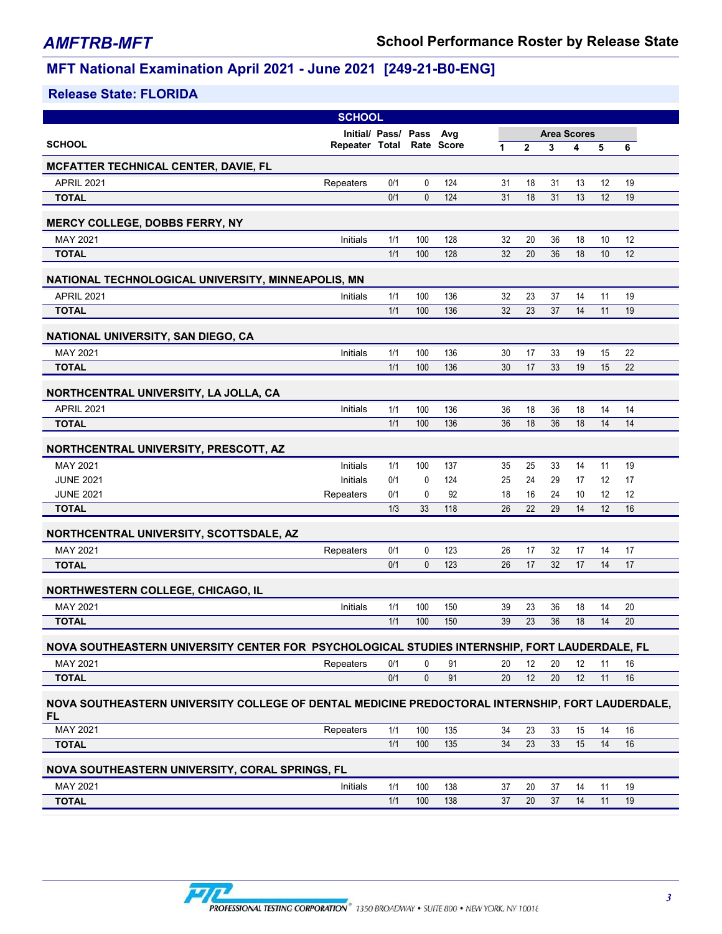| <b>SCHOOL</b>                                                                                           |                    |    |    |
|---------------------------------------------------------------------------------------------------------|--------------------|----|----|
| Initial/ Pass/ Pass Avg                                                                                 | <b>Area Scores</b> |    |    |
| <b>SCHOOL</b><br>Repeater Total Rate Score<br>$\overline{2}$<br>3<br>1                                  | 4                  | 5  | 6  |
| <b>MCFATTER TECHNICAL CENTER, DAVIE, FL</b>                                                             |                    |    |    |
| <b>APRIL 2021</b><br>0/1<br>0<br>124<br>Repeaters<br>31<br>18                                           | 31<br>13           | 12 | 19 |
| 0/1<br>$\mathbf{0}$<br>124<br>31<br>18<br><b>TOTAL</b>                                                  | 31<br>13           | 12 | 19 |
| <b>MERCY COLLEGE, DOBBS FERRY, NY</b>                                                                   |                    |    |    |
| MAY 2021<br>1/1<br>100<br>128<br>32<br>Initials<br>20                                                   | 18<br>36           | 10 | 12 |
| 1/1<br>100<br>128<br>32<br>20<br><b>TOTAL</b>                                                           | 18<br>36           | 10 | 12 |
| NATIONAL TECHNOLOGICAL UNIVERSITY, MINNEAPOLIS, MN                                                      |                    |    |    |
| <b>APRIL 2021</b><br>1/1<br>100<br>136<br>32<br>23<br>Initials                                          | 37<br>14           | 11 | 19 |
| 1/1<br>100<br>136<br>32<br>23<br><b>TOTAL</b>                                                           | 14<br>37           | 11 | 19 |
| NATIONAL UNIVERSITY, SAN DIEGO, CA                                                                      |                    |    |    |
| MAY 2021<br>Initials<br>1/1<br>100<br>136<br>30<br>17                                                   | 19<br>33           | 15 | 22 |
| 1/1<br>100<br>136<br>17<br><b>TOTAL</b><br>30                                                           | 19<br>33           | 15 | 22 |
| NORTHCENTRAL UNIVERSITY, LA JOLLA, CA                                                                   |                    |    |    |
| <b>APRIL 2021</b><br>Initials<br>1/1<br>100<br>136<br>36<br>18                                          | 18<br>36           | 14 | 14 |
| 1/1<br>100<br>136<br><b>TOTAL</b><br>36<br>18                                                           | 36<br>18           | 14 | 14 |
| NORTHCENTRAL UNIVERSITY, PRESCOTT, AZ                                                                   |                    |    |    |
| MAY 2021<br>1/1<br>100<br>Initials<br>137<br>35<br>25                                                   | 14<br>33           | 11 | 19 |
| Initials<br><b>JUNE 2021</b><br>0/1<br>0<br>124<br>25<br>24                                             | 29<br>17           | 12 | 17 |
| <b>JUNE 2021</b><br>Repeaters<br>0/1<br>0<br>92<br>18<br>16                                             | 24<br>10           | 12 | 12 |
| 1/3<br>33<br>118<br>26<br>22<br><b>TOTAL</b>                                                            | 14<br>29           | 12 | 16 |
| NORTHCENTRAL UNIVERSITY, SCOTTSDALE, AZ                                                                 |                    |    |    |
| MAY 2021<br>0<br>123<br>0/1<br>26<br>17<br>Repeaters                                                    | 32<br>17           | 14 | 17 |
| $\mathbf{0}$<br>0/1<br>123<br>17<br><b>TOTAL</b><br>26                                                  | 32<br>17           | 14 | 17 |
| NORTHWESTERN COLLEGE, CHICAGO, IL                                                                       |                    |    |    |
| MAY 2021<br>100<br>Initials<br>1/1<br>150<br>39<br>23                                                   | 36<br>18           | 14 | 20 |
| <b>TOTAL</b><br>1/1<br>100<br>150<br>39<br>23                                                           | 36<br>18           | 14 | 20 |
| NOVA SOUTHEASTERN UNIVERSITY CENTER FOR PSYCHOLOGICAL STUDIES INTERNSHIP, FORT LAUDERDALE, FL           |                    |    |    |
| MAY 2021<br>Repeaters<br>0/1<br>0<br>91<br>20<br>12                                                     | 12<br>20           | 11 | 16 |
| <b>TOTAL</b><br>$\mathbf 0$<br>91<br>0/1<br>12<br>20                                                    | 12<br>20           | 11 | 16 |
| NOVA SOUTHEASTERN UNIVERSITY COLLEGE OF DENTAL MEDICINE PREDOCTORAL INTERNSHIP, FORT LAUDERDALE,<br>FL. |                    |    |    |
| MAY 2021<br>135<br>1/1<br>100<br>34<br>23<br>33<br>Repeaters                                            | 15                 | 14 | 16 |
| 100<br>$\overline{135}$<br>1/1<br>34<br>23<br><b>TOTAL</b>                                              | 33<br>15           | 14 | 16 |
| NOVA SOUTHEASTERN UNIVERSITY, CORAL SPRINGS, FL                                                         |                    |    |    |
| MAY 2021<br>1/1<br>100<br>138<br>Initials<br>37<br>20<br>37                                             | 14                 | 11 | 19 |
| 138<br><b>TOTAL</b><br>1/1<br>100<br>37<br>20<br>37                                                     | 14                 | 11 | 19 |

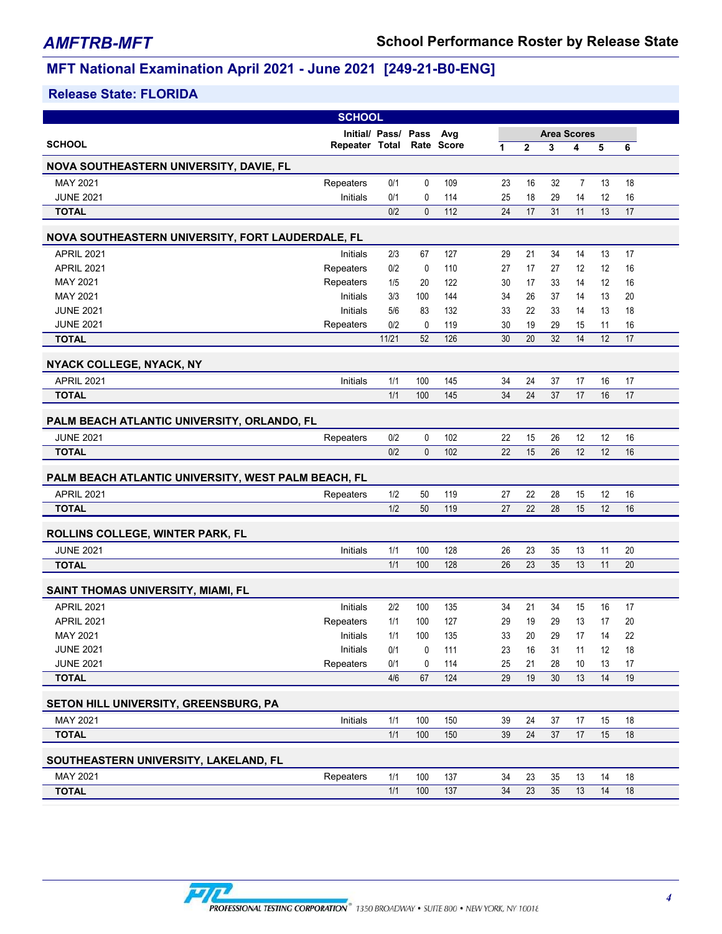|                                                     | <b>SCHOOL</b>             |                     |              |                  |    |                 |                    |                |    |    |
|-----------------------------------------------------|---------------------------|---------------------|--------------|------------------|----|-----------------|--------------------|----------------|----|----|
|                                                     |                           | Initial/ Pass/ Pass |              | Avg              |    |                 | <b>Area Scores</b> |                |    |    |
| <b>SCHOOL</b>                                       | Repeater Total Rate Score |                     |              |                  | 1  | $\mathbf{2}$    | 3                  | 4              | 5  | 6  |
| <b>NOVA SOUTHEASTERN UNIVERSITY, DAVIE, FL</b>      |                           |                     |              |                  |    |                 |                    |                |    |    |
| MAY 2021                                            | Repeaters                 | 0/1                 | 0            | 109              | 23 | 16              | 32                 | $\overline{7}$ | 13 | 18 |
| <b>JUNE 2021</b>                                    | <b>Initials</b>           | 0/1                 | 0            | 114              | 25 | 18              | 29                 | 14             | 12 | 16 |
| <b>TOTAL</b>                                        |                           | 0/2                 | $\mathbf{0}$ | 112              | 24 | 17              | 31                 | 11             | 13 | 17 |
| NOVA SOUTHEASTERN UNIVERSITY, FORT LAUDERDALE, FL   |                           |                     |              |                  |    |                 |                    |                |    |    |
| <b>APRIL 2021</b>                                   | Initials                  | 2/3                 | 67           | 127              | 29 | 21              | 34                 | 14             | 13 | 17 |
| <b>APRIL 2021</b>                                   | Repeaters                 | 0/2                 | 0            | 110              | 27 | 17              | 27                 | 12             | 12 | 16 |
| MAY 2021                                            | Repeaters                 | 1/5                 | 20           | 122              | 30 | 17              | 33                 | 14             | 12 | 16 |
| MAY 2021                                            | <b>Initials</b>           | 3/3                 | 100          | 144              | 34 | 26              | 37                 | 14             | 13 | 20 |
| <b>JUNE 2021</b>                                    | <b>Initials</b>           | 5/6                 | 83           | 132              | 33 | 22              | 33                 | 14             | 13 | 18 |
| <b>JUNE 2021</b>                                    | Repeaters                 | 0/2                 | 0            | 119              | 30 | 19              | 29                 | 15             | 11 | 16 |
| <b>TOTAL</b>                                        |                           | 11/21               | 52           | 126              | 30 | 20              | 32                 | 14             | 12 | 17 |
| NYACK COLLEGE, NYACK, NY                            |                           |                     |              |                  |    |                 |                    |                |    |    |
| <b>APRIL 2021</b>                                   | Initials                  | 1/1                 | 100          | 145              | 34 | 24              | 37                 | 17             | 16 | 17 |
| <b>TOTAL</b>                                        |                           | 1/1                 | 100          | 145              | 34 | 24              | 37                 | 17             | 16 | 17 |
| PALM BEACH ATLANTIC UNIVERSITY, ORLANDO, FL         |                           |                     |              |                  |    |                 |                    |                |    |    |
| <b>JUNE 2021</b>                                    | Repeaters                 | 0/2                 | 0            | 102              | 22 | 15              | 26                 | 12             | 12 | 16 |
| <b>TOTAL</b>                                        |                           | 0/2                 | $\mathbf{0}$ | 102              | 22 | 15              | 26                 | 12             | 12 | 16 |
| PALM BEACH ATLANTIC UNIVERSITY, WEST PALM BEACH, FL |                           |                     |              |                  |    |                 |                    |                |    |    |
| <b>APRIL 2021</b>                                   | Repeaters                 | 1/2                 | 50           | 119              | 27 | 22              | 28                 | 15             | 12 | 16 |
| <b>TOTAL</b>                                        |                           | 1/2                 | 50           | 119              | 27 | 22              | 28                 | 15             | 12 | 16 |
| ROLLINS COLLEGE, WINTER PARK, FL                    |                           |                     |              |                  |    |                 |                    |                |    |    |
| <b>JUNE 2021</b>                                    | Initials                  | 1/1                 | 100          | 128              | 26 | 23              | 35                 | 13             | 11 | 20 |
| <b>TOTAL</b>                                        |                           | 1/1                 | 100          | 128              | 26 | 23              | 35                 | 13             | 11 | 20 |
| SAINT THOMAS UNIVERSITY, MIAMI, FL                  |                           |                     |              |                  |    |                 |                    |                |    |    |
| <b>APRIL 2021</b>                                   | Initials                  | 2/2                 | 100          | 135              | 34 | 21              | 34                 | 15             | 16 | 17 |
| <b>APRIL 2021</b>                                   | Repeaters                 | 1/1                 | 100          | 127              | 29 | 19              | 29                 | 13             | 17 | 20 |
| MAY 2021                                            | Initials                  | 1/1                 | 100          | 135              | 33 | 20              | 29                 | 17             | 14 | 22 |
| <b>JUNE 2021</b>                                    | Initials                  | 0/1                 | 0            | 111              | 23 | 16              | 31                 | 11             | 12 | 18 |
| <b>JUNE 2021</b>                                    | Repeaters                 | 0/1                 | 0            | 114              | 25 | 21              | 28                 | 10             | 13 | 17 |
| <b>TOTAL</b>                                        |                           | 4/6                 | 67           | 124              | 29 | 19              | 30                 | 13             | 14 | 19 |
| SETON HILL UNIVERSITY, GREENSBURG, PA               |                           |                     |              |                  |    |                 |                    |                |    |    |
| MAY 2021                                            | Initials                  | 1/1                 | 100          | 150              | 39 | 24              | 37                 | 17             | 15 | 18 |
| <b>TOTAL</b>                                        |                           | 1/1                 | 100          | 150              | 39 | 24              | 37                 | 17             | 15 | 18 |
| SOUTHEASTERN UNIVERSITY, LAKELAND, FL               |                           |                     |              |                  |    |                 |                    |                |    |    |
| MAY 2021                                            | Repeaters                 | 1/1                 | 100          | 137              | 34 | 23              | 35                 | 13             | 14 | 18 |
| <b>TOTAL</b>                                        |                           | 1/1                 | 100          | $\overline{137}$ | 34 | $\overline{23}$ | 35                 | 13             | 14 | 18 |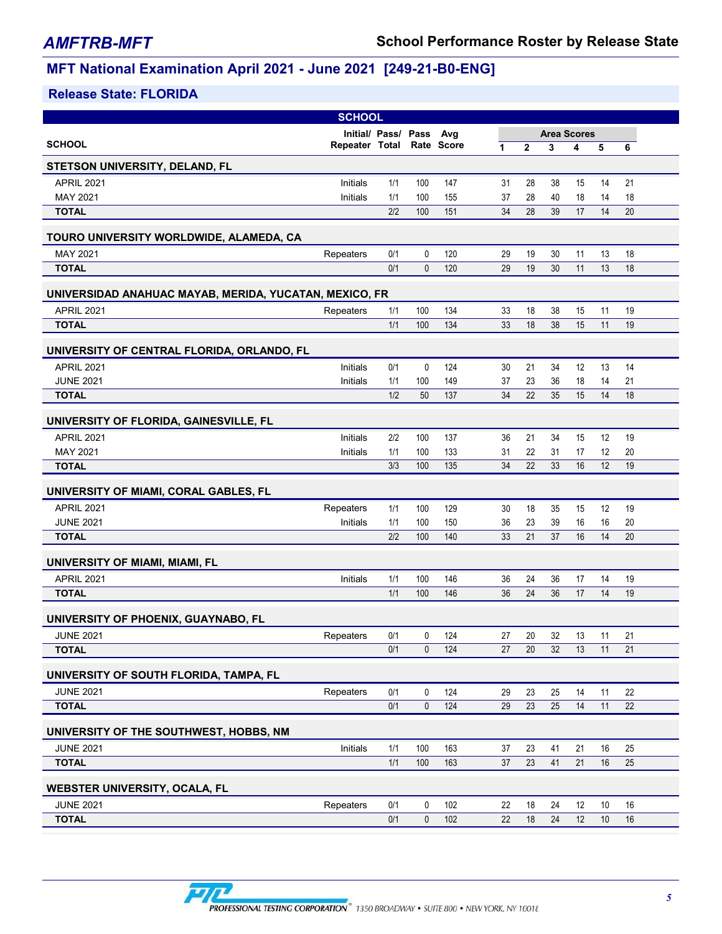|                                                        | <b>SCHOOL</b>             |                     |             |     |                 |                |                    |    |      |    |  |
|--------------------------------------------------------|---------------------------|---------------------|-------------|-----|-----------------|----------------|--------------------|----|------|----|--|
|                                                        |                           | Initial/ Pass/ Pass |             | Avg |                 |                | <b>Area Scores</b> |    |      |    |  |
| <b>SCHOOL</b>                                          | Repeater Total Rate Score |                     |             |     | 1               | $\overline{2}$ | 3                  | 4  | 5    | 6  |  |
| <b>STETSON UNIVERSITY, DELAND, FL</b>                  |                           |                     |             |     |                 |                |                    |    |      |    |  |
| <b>APRIL 2021</b>                                      | Initials                  | 1/1                 | 100         | 147 | 31              | 28             | 38                 | 15 | 14   | 21 |  |
| MAY 2021                                               | Initials                  | 1/1                 | 100         | 155 | 37              | 28             | 40                 | 18 | 14   | 18 |  |
| <b>TOTAL</b>                                           |                           | 2/2                 | 100         | 151 | 34              | 28             | 39                 | 17 | 14   | 20 |  |
| TOURO UNIVERSITY WORLDWIDE, ALAMEDA, CA                |                           |                     |             |     |                 |                |                    |    |      |    |  |
| MAY 2021                                               | Repeaters                 | 0/1                 | 0           | 120 | 29              | 19             | 30                 | 11 | 13   | 18 |  |
| <b>TOTAL</b>                                           |                           | 0/1                 | 0           | 120 | 29              | 19             | 30                 | 11 | 13   | 18 |  |
| UNIVERSIDAD ANAHUAC MAYAB, MERIDA, YUCATAN, MEXICO, FR |                           |                     |             |     |                 |                |                    |    |      |    |  |
| <b>APRIL 2021</b>                                      | Repeaters                 | 1/1                 | 100         | 134 | 33              | 18             | 38                 | 15 | 11   | 19 |  |
| <b>TOTAL</b>                                           |                           | 1/1                 | 100         | 134 | 33              | 18             | 38                 | 15 | 11   | 19 |  |
| UNIVERSITY OF CENTRAL FLORIDA, ORLANDO, FL             |                           |                     |             |     |                 |                |                    |    |      |    |  |
| <b>APRIL 2021</b>                                      | Initials                  | 0/1                 | 0           | 124 | 30              | 21             | 34                 | 12 | 13   | 14 |  |
| <b>JUNE 2021</b>                                       | Initials                  | 1/1                 | 100         | 149 | 37              | 23             | 36                 | 18 | 14   | 21 |  |
| <b>TOTAL</b>                                           |                           | 1/2                 | 50          | 137 | 34              | 22             | 35                 | 15 | 14   | 18 |  |
| UNIVERSITY OF FLORIDA, GAINESVILLE, FL                 |                           |                     |             |     |                 |                |                    |    |      |    |  |
| <b>APRIL 2021</b>                                      | Initials                  | 2/2                 | 100         | 137 | 36              | 21             | 34                 | 15 | 12   | 19 |  |
| MAY 2021                                               | Initials                  | 1/1                 | 100         | 133 | 31              | 22             | 31                 | 17 | 12   | 20 |  |
| <b>TOTAL</b>                                           |                           | 3/3                 | 100         | 135 | 34              | 22             | 33                 | 16 | 12   | 19 |  |
| UNIVERSITY OF MIAMI, CORAL GABLES, FL                  |                           |                     |             |     |                 |                |                    |    |      |    |  |
| <b>APRIL 2021</b>                                      | Repeaters                 | 1/1                 | 100         | 129 | 30              | 18             | 35                 | 15 | 12   | 19 |  |
| <b>JUNE 2021</b>                                       | Initials                  | 1/1                 | 100         | 150 | 36              | 23             | 39                 | 16 | 16   | 20 |  |
| <b>TOTAL</b>                                           |                           | 2/2                 | 100         | 140 | 33              | 21             | 37                 | 16 | 14   | 20 |  |
| UNIVERSITY OF MIAMI, MIAMI, FL                         |                           |                     |             |     |                 |                |                    |    |      |    |  |
| <b>APRIL 2021</b>                                      | Initials                  | 1/1                 | 100         | 146 | 36              | 24             | 36                 | 17 | 14   | 19 |  |
| <b>TOTAL</b>                                           |                           | 1/1                 | 100         | 146 | 36              | 24             | 36                 | 17 | 14   | 19 |  |
| UNIVERSITY OF PHOENIX, GUAYNABO, FL                    |                           |                     |             |     |                 |                |                    |    |      |    |  |
| <b>JUNE 2021</b>                                       | Repeaters                 | 0/1                 | 0           | 124 | 27              | 20             | 32                 | 13 | 11   | 21 |  |
| <b>TOTAL</b>                                           |                           | 0/1                 | 0           | 124 | 27              | $20\,$         | 32                 | 13 | 11   | 21 |  |
| UNIVERSITY OF SOUTH FLORIDA, TAMPA, FL                 |                           |                     |             |     |                 |                |                    |    |      |    |  |
| <b>JUNE 2021</b>                                       | Repeaters                 | 0/1                 | 0           | 124 | 29              | 23             | 25                 | 14 | 11   | 22 |  |
| <b>TOTAL</b>                                           |                           | 0/1                 | $\mathbf 0$ | 124 | 29              | 23             | 25                 | 14 | 11   | 22 |  |
| UNIVERSITY OF THE SOUTHWEST, HOBBS, NM                 |                           |                     |             |     |                 |                |                    |    |      |    |  |
| <b>JUNE 2021</b>                                       | Initials                  | 1/1                 | 100         | 163 | 37              | 23             | 41                 | 21 | 16   | 25 |  |
| <b>TOTAL</b>                                           |                           | 1/1                 | 100         | 163 | 37              | 23             | 41                 | 21 | 16   | 25 |  |
| WEBSTER UNIVERSITY, OCALA, FL                          |                           |                     |             |     |                 |                |                    |    |      |    |  |
| <b>JUNE 2021</b>                                       | Repeaters                 | 0/1                 | 0           | 102 | 22              | 18             | 24                 | 12 | 10   | 16 |  |
| <b>TOTAL</b>                                           |                           | 0/1                 | $\mathbf 0$ | 102 | $\overline{22}$ | 18             | 24                 | 12 | $10$ | 16 |  |